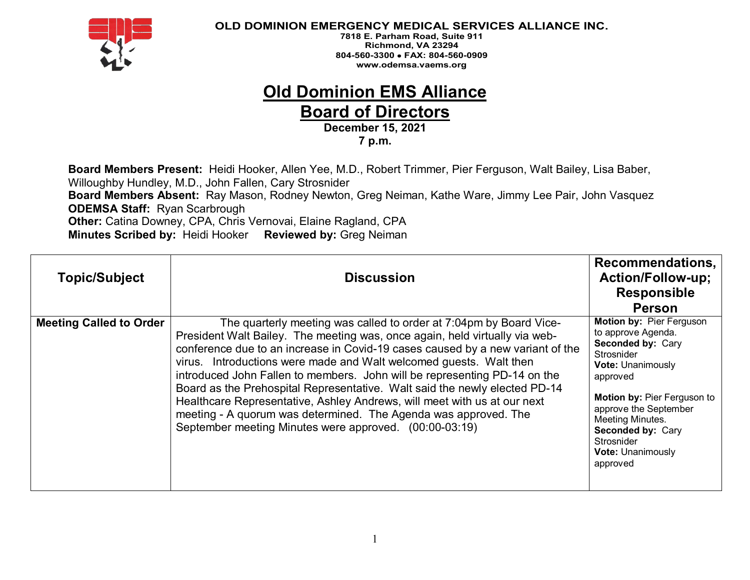

**7818 E. Parham Road, Suite 911 Richmond, VA 23294 804-560-3300** • **FAX: 804-560-0909 www.odemsa.vaems.org**

## **Old Dominion EMS Alliance Board of Directors**

**December 15, 2021**

**7 p.m.**

**Board Members Present:** Heidi Hooker, Allen Yee, M.D., Robert Trimmer, Pier Ferguson, Walt Bailey, Lisa Baber, Willoughby Hundley, M.D., John Fallen, Cary Strosnider **Board Members Absent:** Ray Mason, Rodney Newton, Greg Neiman, Kathe Ware, Jimmy Lee Pair, John Vasquez **ODEMSA Staff:** Ryan Scarbrough **Other:** Catina Downey, CPA, Chris Vernovai, Elaine Ragland, CPA **Minutes Scribed by:** Heidi Hooker **Reviewed by:** Greg Neiman

| <b>Topic/Subject</b>           | <b>Discussion</b>                                                                                                                                                                                                                                                                                                                                                                                                                                                                                                                                                                                                                                                             | Recommendations,<br><b>Action/Follow-up;</b><br><b>Responsible</b><br><b>Person</b>                                                                                                                                                                                       |
|--------------------------------|-------------------------------------------------------------------------------------------------------------------------------------------------------------------------------------------------------------------------------------------------------------------------------------------------------------------------------------------------------------------------------------------------------------------------------------------------------------------------------------------------------------------------------------------------------------------------------------------------------------------------------------------------------------------------------|---------------------------------------------------------------------------------------------------------------------------------------------------------------------------------------------------------------------------------------------------------------------------|
| <b>Meeting Called to Order</b> | The quarterly meeting was called to order at 7:04pm by Board Vice-<br>President Walt Bailey. The meeting was, once again, held virtually via web-<br>conference due to an increase in Covid-19 cases caused by a new variant of the<br>virus. Introductions were made and Walt welcomed guests. Walt then<br>introduced John Fallen to members. John will be representing PD-14 on the<br>Board as the Prehospital Representative. Walt said the newly elected PD-14<br>Healthcare Representative, Ashley Andrews, will meet with us at our next<br>meeting - A quorum was determined. The Agenda was approved. The<br>September meeting Minutes were approved. (00:00-03:19) | Motion by: Pier Ferguson<br>to approve Agenda.<br>Seconded by: Cary<br>Strosnider<br>Vote: Unanimously<br>approved<br>Motion by: Pier Ferguson to<br>approve the September<br>Meeting Minutes.<br>Seconded by: Cary<br>Strosnider<br><b>Vote: Unanimously</b><br>approved |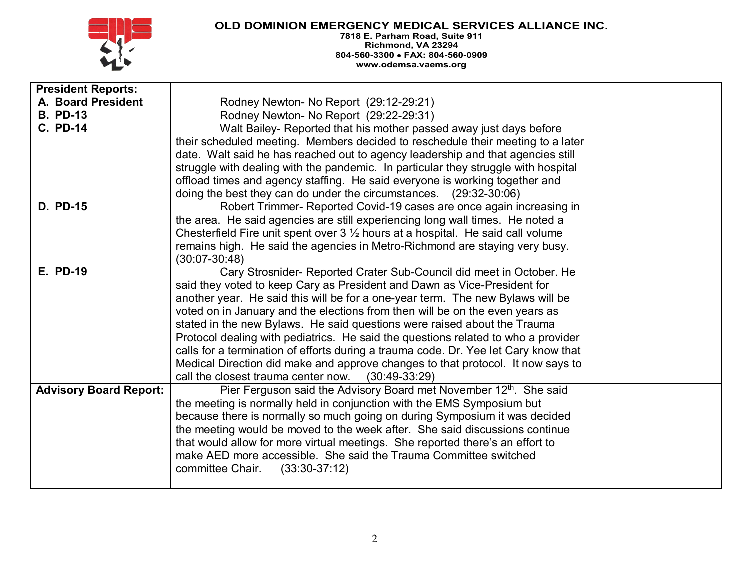

| <b>President Reports:</b>     |                                                                                           |  |
|-------------------------------|-------------------------------------------------------------------------------------------|--|
| A. Board President            | Rodney Newton- No Report (29:12-29:21)                                                    |  |
| <b>B. PD-13</b>               | Rodney Newton- No Report (29:22-29:31)                                                    |  |
| <b>C. PD-14</b>               | Walt Bailey- Reported that his mother passed away just days before                        |  |
|                               | their scheduled meeting. Members decided to reschedule their meeting to a later           |  |
|                               | date. Walt said he has reached out to agency leadership and that agencies still           |  |
|                               | struggle with dealing with the pandemic. In particular they struggle with hospital        |  |
|                               | offload times and agency staffing. He said everyone is working together and               |  |
|                               | doing the best they can do under the circumstances. (29:32-30:06)                         |  |
| <b>D. PD-15</b>               | Robert Trimmer- Reported Covid-19 cases are once again increasing in                      |  |
|                               | the area. He said agencies are still experiencing long wall times. He noted a             |  |
|                               | Chesterfield Fire unit spent over $3\frac{1}{2}$ hours at a hospital. He said call volume |  |
|                               | remains high. He said the agencies in Metro-Richmond are staying very busy.               |  |
|                               | $(30:07 - 30:48)$                                                                         |  |
| <b>E. PD-19</b>               | Cary Strosnider- Reported Crater Sub-Council did meet in October. He                      |  |
|                               | said they voted to keep Cary as President and Dawn as Vice-President for                  |  |
|                               | another year. He said this will be for a one-year term. The new Bylaws will be            |  |
|                               | voted on in January and the elections from then will be on the even years as              |  |
|                               | stated in the new Bylaws. He said questions were raised about the Trauma                  |  |
|                               | Protocol dealing with pediatrics. He said the questions related to who a provider         |  |
|                               | calls for a termination of efforts during a trauma code. Dr. Yee let Cary know that       |  |
|                               | Medical Direction did make and approve changes to that protocol. It now says to           |  |
|                               | call the closest trauma center now.<br>$(30:49-33:29)$                                    |  |
| <b>Advisory Board Report:</b> | Pier Ferguson said the Advisory Board met November 12th. She said                         |  |
|                               | the meeting is normally held in conjunction with the EMS Symposium but                    |  |
|                               | because there is normally so much going on during Symposium it was decided                |  |
|                               | the meeting would be moved to the week after. She said discussions continue               |  |
|                               | that would allow for more virtual meetings. She reported there's an effort to             |  |
|                               | make AED more accessible. She said the Trauma Committee switched                          |  |
|                               | committee Chair. (33:30-37:12)                                                            |  |
|                               |                                                                                           |  |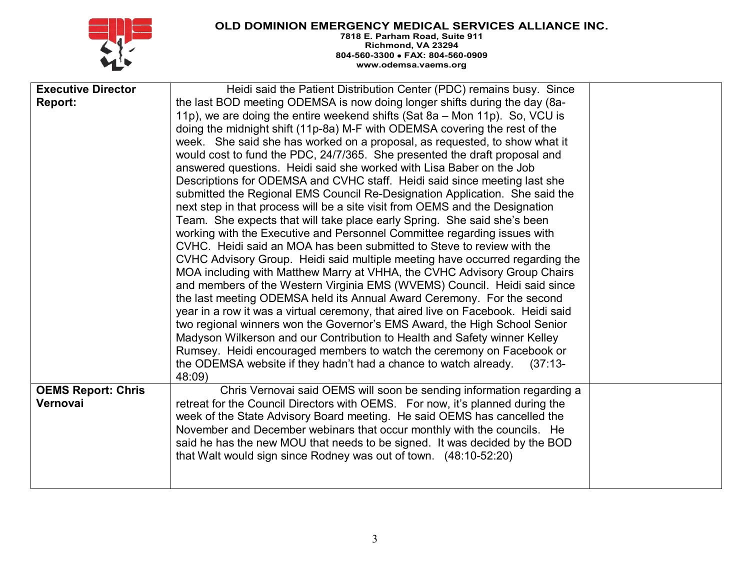

| <b>Executive Director</b><br>Report: | Heidi said the Patient Distribution Center (PDC) remains busy. Since<br>the last BOD meeting ODEMSA is now doing longer shifts during the day (8a-<br>11p), we are doing the entire weekend shifts (Sat 8a - Mon 11p). So, VCU is<br>doing the midnight shift (11p-8a) M-F with ODEMSA covering the rest of the<br>week. She said she has worked on a proposal, as requested, to show what it<br>would cost to fund the PDC, 24/7/365. She presented the draft proposal and<br>answered questions. Heidi said she worked with Lisa Baber on the Job<br>Descriptions for ODEMSA and CVHC staff. Heidi said since meeting last she<br>submitted the Regional EMS Council Re-Designation Application. She said the<br>next step in that process will be a site visit from OEMS and the Designation<br>Team. She expects that will take place early Spring. She said she's been<br>working with the Executive and Personnel Committee regarding issues with<br>CVHC. Heidi said an MOA has been submitted to Steve to review with the<br>CVHC Advisory Group. Heidi said multiple meeting have occurred regarding the<br>MOA including with Matthew Marry at VHHA, the CVHC Advisory Group Chairs<br>and members of the Western Virginia EMS (WVEMS) Council. Heidi said since<br>the last meeting ODEMSA held its Annual Award Ceremony. For the second<br>year in a row it was a virtual ceremony, that aired live on Facebook. Heidi said<br>two regional winners won the Governor's EMS Award, the High School Senior<br>Madyson Wilkerson and our Contribution to Health and Safety winner Kelley<br>Rumsey. Heidi encouraged members to watch the ceremony on Facebook or<br>the ODEMSA website if they hadn't had a chance to watch already.<br>$(37:13-$ |  |
|--------------------------------------|--------------------------------------------------------------------------------------------------------------------------------------------------------------------------------------------------------------------------------------------------------------------------------------------------------------------------------------------------------------------------------------------------------------------------------------------------------------------------------------------------------------------------------------------------------------------------------------------------------------------------------------------------------------------------------------------------------------------------------------------------------------------------------------------------------------------------------------------------------------------------------------------------------------------------------------------------------------------------------------------------------------------------------------------------------------------------------------------------------------------------------------------------------------------------------------------------------------------------------------------------------------------------------------------------------------------------------------------------------------------------------------------------------------------------------------------------------------------------------------------------------------------------------------------------------------------------------------------------------------------------------------------------------------------------------------------------------------------------------------------------------------|--|
| <b>OEMS Report: Chris</b>            | 48:09)<br>Chris Vernovai said OEMS will soon be sending information regarding a                                                                                                                                                                                                                                                                                                                                                                                                                                                                                                                                                                                                                                                                                                                                                                                                                                                                                                                                                                                                                                                                                                                                                                                                                                                                                                                                                                                                                                                                                                                                                                                                                                                                              |  |
| Vernovai                             | retreat for the Council Directors with OEMS. For now, it's planned during the<br>week of the State Advisory Board meeting. He said OEMS has cancelled the<br>November and December webinars that occur monthly with the councils. He<br>said he has the new MOU that needs to be signed. It was decided by the BOD<br>that Walt would sign since Rodney was out of town. (48:10-52:20)                                                                                                                                                                                                                                                                                                                                                                                                                                                                                                                                                                                                                                                                                                                                                                                                                                                                                                                                                                                                                                                                                                                                                                                                                                                                                                                                                                       |  |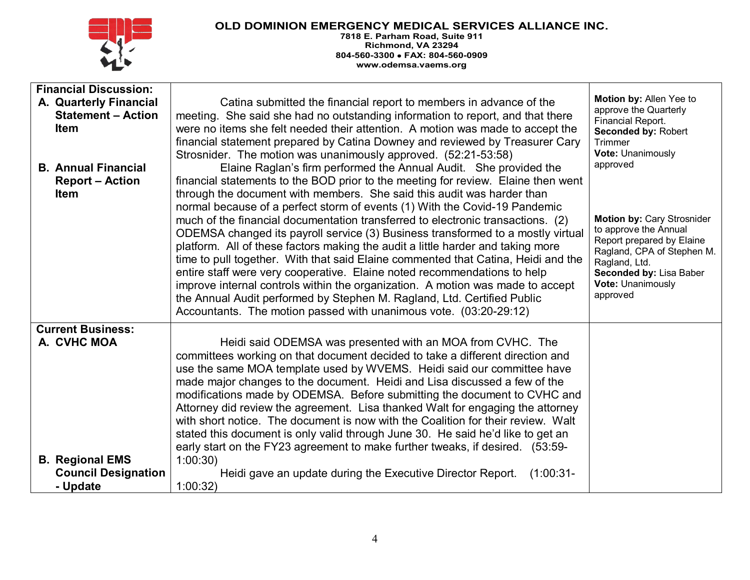

| <b>Financial Discussion:</b><br>A. Quarterly Financial<br><b>Statement - Action</b><br><b>Item</b> | Catina submitted the financial report to members in advance of the<br>meeting. She said she had no outstanding information to report, and that there<br>were no items she felt needed their attention. A motion was made to accept the                                                                                                                                                                                                                                                                                                                                                                                                                                                                                   | Motion by: Allen Yee to<br>approve the Quarterly<br>Financial Report.<br>Seconded by: Robert                                                                         |
|----------------------------------------------------------------------------------------------------|--------------------------------------------------------------------------------------------------------------------------------------------------------------------------------------------------------------------------------------------------------------------------------------------------------------------------------------------------------------------------------------------------------------------------------------------------------------------------------------------------------------------------------------------------------------------------------------------------------------------------------------------------------------------------------------------------------------------------|----------------------------------------------------------------------------------------------------------------------------------------------------------------------|
| <b>B. Annual Financial</b><br><b>Report – Action</b><br><b>Item</b>                                | financial statement prepared by Catina Downey and reviewed by Treasurer Cary<br>Strosnider. The motion was unanimously approved. (52:21-53:58)<br>Elaine Raglan's firm performed the Annual Audit. She provided the<br>financial statements to the BOD prior to the meeting for review. Elaine then went<br>through the document with members. She said this audit was harder than<br>normal because of a perfect storm of events (1) With the Covid-19 Pandemic<br>much of the financial documentation transferred to electronic transactions. (2)                                                                                                                                                                      | Trimmer<br>Vote: Unanimously<br>approved<br>Motion by: Cary Strosnider                                                                                               |
|                                                                                                    | ODEMSA changed its payroll service (3) Business transformed to a mostly virtual<br>platform. All of these factors making the audit a little harder and taking more<br>time to pull together. With that said Elaine commented that Catina, Heidi and the<br>entire staff were very cooperative. Elaine noted recommendations to help<br>improve internal controls within the organization. A motion was made to accept<br>the Annual Audit performed by Stephen M. Ragland, Ltd. Certified Public<br>Accountants. The motion passed with unanimous vote. (03:20-29:12)                                                                                                                                                    | to approve the Annual<br>Report prepared by Elaine<br>Ragland, CPA of Stephen M.<br>Ragland, Ltd.<br>Seconded by: Lisa Baber<br><b>Vote: Unanimously</b><br>approved |
| <b>Current Business:</b><br>A. CVHC MOA                                                            | Heidi said ODEMSA was presented with an MOA from CVHC. The<br>committees working on that document decided to take a different direction and<br>use the same MOA template used by WVEMS. Heidi said our committee have<br>made major changes to the document. Heidi and Lisa discussed a few of the<br>modifications made by ODEMSA. Before submitting the document to CVHC and<br>Attorney did review the agreement. Lisa thanked Walt for engaging the attorney<br>with short notice. The document is now with the Coalition for their review. Walt<br>stated this document is only valid through June 30. He said he'd like to get an<br>early start on the FY23 agreement to make further tweaks, if desired. (53:59- |                                                                                                                                                                      |
| <b>B. Regional EMS</b>                                                                             | 1:00:30                                                                                                                                                                                                                                                                                                                                                                                                                                                                                                                                                                                                                                                                                                                  |                                                                                                                                                                      |
| <b>Council Designation</b><br>- Update                                                             | Heidi gave an update during the Executive Director Report.<br>$(1:00:31-$<br>1:00:32                                                                                                                                                                                                                                                                                                                                                                                                                                                                                                                                                                                                                                     |                                                                                                                                                                      |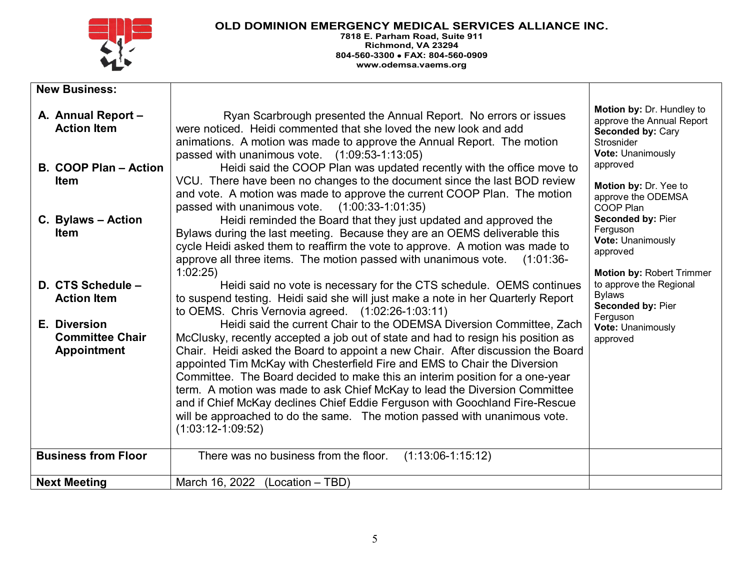

| <b>New Business:</b>                                         |                                                                                                                                                                                                                                                                                                                                                                                                                                                                                                                                                                                                                                                                           |                                                                                                                       |
|--------------------------------------------------------------|---------------------------------------------------------------------------------------------------------------------------------------------------------------------------------------------------------------------------------------------------------------------------------------------------------------------------------------------------------------------------------------------------------------------------------------------------------------------------------------------------------------------------------------------------------------------------------------------------------------------------------------------------------------------------|-----------------------------------------------------------------------------------------------------------------------|
| A. Annual Report -<br><b>Action Item</b>                     | Ryan Scarbrough presented the Annual Report. No errors or issues<br>were noticed. Heidi commented that she loved the new look and add<br>animations. A motion was made to approve the Annual Report. The motion<br>passed with unanimous vote. (1:09:53-1:13:05)                                                                                                                                                                                                                                                                                                                                                                                                          | Motion by: Dr. Hundley to<br>approve the Annual Report<br><b>Seconded by: Cary</b><br>Strosnider<br>Vote: Unanimously |
| B. COOP Plan - Action<br><b>Item</b>                         | Heidi said the COOP Plan was updated recently with the office move to<br>VCU. There have been no changes to the document since the last BOD review<br>and vote. A motion was made to approve the current COOP Plan. The motion<br>passed with unanimous vote. $(1:00:33-1:01:35)$                                                                                                                                                                                                                                                                                                                                                                                         | approved<br>Motion by: Dr. Yee to<br>approve the ODEMSA<br>COOP Plan                                                  |
| C. Bylaws - Action<br><b>Item</b>                            | Heidi reminded the Board that they just updated and approved the<br>Bylaws during the last meeting. Because they are an OEMS deliverable this<br>cycle Heidi asked them to reaffirm the vote to approve. A motion was made to<br>approve all three items. The motion passed with unanimous vote.<br>$(1:01:36-$<br>1:02:25                                                                                                                                                                                                                                                                                                                                                | Seconded by: Pier<br>Ferguson<br>Vote: Unanimously<br>approved<br>Motion by: Robert Trimmer                           |
| D. CTS Schedule -<br><b>Action Item</b>                      | Heidi said no vote is necessary for the CTS schedule. OEMS continues<br>to suspend testing. Heidi said she will just make a note in her Quarterly Report<br>to OEMS. Chris Vernovia agreed. $(1:02:26-1:03:11)$                                                                                                                                                                                                                                                                                                                                                                                                                                                           | to approve the Regional<br><b>Bylaws</b><br>Seconded by: Pier                                                         |
| E. Diversion<br><b>Committee Chair</b><br><b>Appointment</b> | Heidi said the current Chair to the ODEMSA Diversion Committee, Zach<br>McClusky, recently accepted a job out of state and had to resign his position as<br>Chair. Heidi asked the Board to appoint a new Chair. After discussion the Board<br>appointed Tim McKay with Chesterfield Fire and EMS to Chair the Diversion<br>Committee. The Board decided to make this an interim position for a one-year<br>term. A motion was made to ask Chief McKay to lead the Diversion Committee<br>and if Chief McKay declines Chief Eddie Ferguson with Goochland Fire-Rescue<br>will be approached to do the same. The motion passed with unanimous vote.<br>$(1:03:12-1:09:52)$ | Ferguson<br>Vote: Unanimously<br>approved                                                                             |
| <b>Business from Floor</b>                                   | There was no business from the floor.<br>$(1:13:06-1:15:12)$                                                                                                                                                                                                                                                                                                                                                                                                                                                                                                                                                                                                              |                                                                                                                       |
| <b>Next Meeting</b>                                          | March 16, 2022 (Location - TBD)                                                                                                                                                                                                                                                                                                                                                                                                                                                                                                                                                                                                                                           |                                                                                                                       |